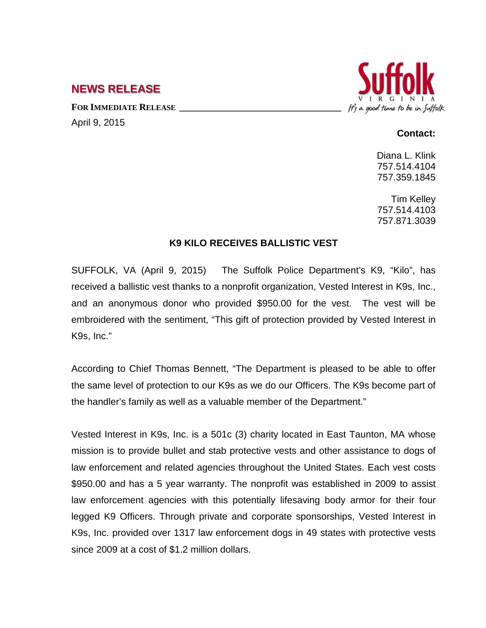## **NEWS RELEASE**

FOR **IMMEDIATE RELEASE** 

April 9, 2015

## It's a good time to be in Suffolk

## **Contact:**

Diana L. Klink 757.514.4104 757.359.1845

Tim Kelley 757.514.4103 757.871.3039

## **K9 KILO RECEIVES BALLISTIC VEST**

SUFFOLK, VA (April 9, 2015) The Suffolk Police Department's K9, "Kilo", has received a ballistic vest thanks to a nonprofit organization, Vested Interest in K9s, Inc., and an anonymous donor who provided \$950.00 for the vest. The vest will be embroidered with the sentiment, "This gift of protection provided by Vested Interest in K9s, Inc."

According to Chief Thomas Bennett, "The Department is pleased to be able to offer the same level of protection to our K9s as we do our Officers. The K9s become part of the handler's family as well as a valuable member of the Department."

Vested Interest in K9s, Inc. is a 501c (3) charity located in East Taunton, MA whose mission is to provide bullet and stab protective vests and other assistance to dogs of law enforcement and related agencies throughout the United States. Each vest costs \$950.00 and has a 5 year warranty. The nonprofit was established in 2009 to assist law enforcement agencies with this potentially lifesaving body armor for their four legged K9 Officers. Through private and corporate sponsorships, Vested Interest in K9s, Inc. provided over 1317 law enforcement dogs in 49 states with protective vests since 2009 at a cost of \$1.2 million dollars.